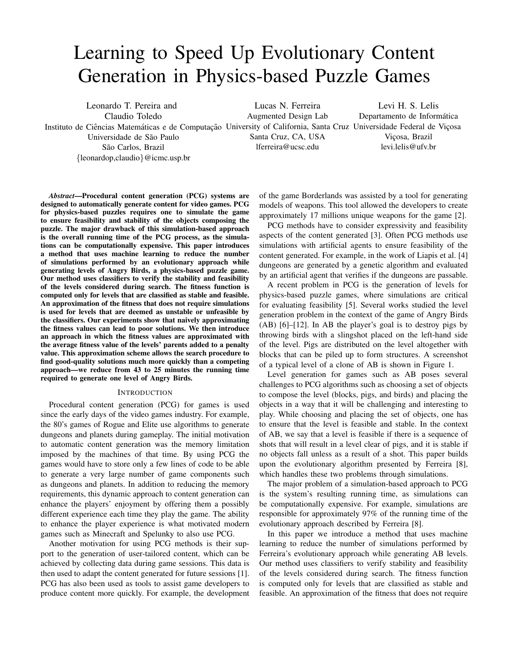# Learning to Speed Up Evolutionary Content Generation in Physics-based Puzzle Games

Leonardo T. Pereira and Claudio Toledo Instituto de Ciências Matemáticas e de Computação University of California, Santa Cruz Universidade Federal de Viçosa Universidade de São Paulo São Carlos, Brazil {leonardop,claudio}@icmc.usp.br

Lucas N. Ferreira Augmented Design Lab Santa Cruz, CA, USA lferreira@ucsc.edu

Levi H. S. Lelis Departamento de Informática Viçosa, Brazil levi.lelis@ufv.br

*Abstract*—Procedural content generation (PCG) systems are designed to automatically generate content for video games. PCG for physics-based puzzles requires one to simulate the game to ensure feasibility and stability of the objects composing the puzzle. The major drawback of this simulation-based approach is the overall running time of the PCG process, as the simulations can be computationally expensive. This paper introduces a method that uses machine learning to reduce the number of simulations performed by an evolutionary approach while generating levels of Angry Birds, a physics-based puzzle game. Our method uses classifiers to verify the stability and feasibility of the levels considered during search. The fitness function is computed only for levels that are classified as stable and feasible. An approximation of the fitness that does not require simulations is used for levels that are deemed as unstable or unfeasible by the classifiers. Our experiments show that naively approximating the fitness values can lead to poor solutions. We then introduce an approach in which the fitness values are approximated with the average fitness value of the levels' parents added to a penalty value. This approximation scheme allows the search procedure to find good-quality solutions much more quickly than a competing approach—we reduce from 43 to 25 minutes the running time required to generate one level of Angry Birds.

## **INTRODUCTION**

Procedural content generation (PCG) for games is used since the early days of the video games industry. For example, the 80's games of Rogue and Elite use algorithms to generate dungeons and planets during gameplay. The initial motivation to automatic content generation was the memory limitation imposed by the machines of that time. By using PCG the games would have to store only a few lines of code to be able to generate a very large number of game components such as dungeons and planets. In addition to reducing the memory requirements, this dynamic approach to content generation can enhance the players' enjoyment by offering them a possibly different experience each time they play the game. The ability to enhance the player experience is what motivated modern games such as Minecraft and Spelunky to also use PCG.

Another motivation for using PCG methods is their support to the generation of user-tailored content, which can be achieved by collecting data during game sessions. This data is then used to adapt the content generated for future sessions [1]. PCG has also been used as tools to assist game developers to produce content more quickly. For example, the development of the game Borderlands was assisted by a tool for generating models of weapons. This tool allowed the developers to create approximately 17 millions unique weapons for the game [2].

PCG methods have to consider expressivity and feasibility aspects of the content generated [3]. Often PCG methods use simulations with artificial agents to ensure feasibility of the content generated. For example, in the work of Liapis et al. [4] dungeons are generated by a genetic algorithm and evaluated by an artificial agent that verifies if the dungeons are passable.

A recent problem in PCG is the generation of levels for physics-based puzzle games, where simulations are critical for evaluating feasibility [5]. Several works studied the level generation problem in the context of the game of Angry Birds (AB) [6]–[12]. In AB the player's goal is to destroy pigs by throwing birds with a slingshot placed on the left-hand side of the level. Pigs are distributed on the level altogether with blocks that can be piled up to form structures. A screenshot of a typical level of a clone of AB is shown in Figure 1.

Level generation for games such as AB poses several challenges to PCG algorithms such as choosing a set of objects to compose the level (blocks, pigs, and birds) and placing the objects in a way that it will be challenging and interesting to play. While choosing and placing the set of objects, one has to ensure that the level is feasible and stable. In the context of AB, we say that a level is feasible if there is a sequence of shots that will result in a level clear of pigs, and it is stable if no objects fall unless as a result of a shot. This paper builds upon the evolutionary algorithm presented by Ferreira [8], which handles these two problems through simulations.

The major problem of a simulation-based approach to PCG is the system's resulting running time, as simulations can be computationally expensive. For example, simulations are responsible for approximately 97% of the running time of the evolutionary approach described by Ferreira [8].

In this paper we introduce a method that uses machine learning to reduce the number of simulations performed by Ferreira's evolutionary approach while generating AB levels. Our method uses classifiers to verify stability and feasibility of the levels considered during search. The fitness function is computed only for levels that are classified as stable and feasible. An approximation of the fitness that does not require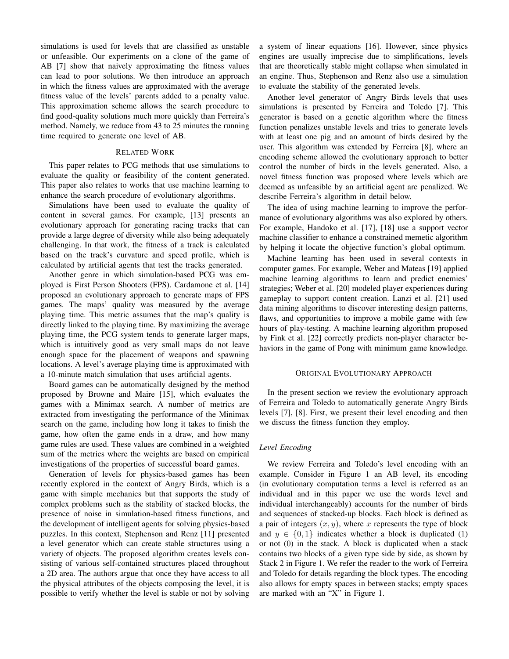simulations is used for levels that are classified as unstable or unfeasible. Our experiments on a clone of the game of AB [7] show that naively approximating the fitness values can lead to poor solutions. We then introduce an approach in which the fitness values are approximated with the average fitness value of the levels' parents added to a penalty value. This approximation scheme allows the search procedure to find good-quality solutions much more quickly than Ferreira's method. Namely, we reduce from 43 to 25 minutes the running time required to generate one level of AB.

# RELATED WORK

This paper relates to PCG methods that use simulations to evaluate the quality or feasibility of the content generated. This paper also relates to works that use machine learning to enhance the search procedure of evolutionary algorithms.

Simulations have been used to evaluate the quality of content in several games. For example, [13] presents an evolutionary approach for generating racing tracks that can provide a large degree of diversity while also being adequately challenging. In that work, the fitness of a track is calculated based on the track's curvature and speed profile, which is calculated by artificial agents that test the tracks generated.

Another genre in which simulation-based PCG was employed is First Person Shooters (FPS). Cardamone et al. [14] proposed an evolutionary approach to generate maps of FPS games. The maps' quality was measured by the average playing time. This metric assumes that the map's quality is directly linked to the playing time. By maximizing the average playing time, the PCG system tends to generate larger maps, which is intuitively good as very small maps do not leave enough space for the placement of weapons and spawning locations. A level's average playing time is approximated with a 10-minute match simulation that uses artificial agents.

Board games can be automatically designed by the method proposed by Browne and Maire [15], which evaluates the games with a Minimax search. A number of metrics are extracted from investigating the performance of the Minimax search on the game, including how long it takes to finish the game, how often the game ends in a draw, and how many game rules are used. These values are combined in a weighted sum of the metrics where the weights are based on empirical investigations of the properties of successful board games.

Generation of levels for physics-based games has been recently explored in the context of Angry Birds, which is a game with simple mechanics but that supports the study of complex problems such as the stability of stacked blocks, the presence of noise in simulation-based fitness functions, and the development of intelligent agents for solving physics-based puzzles. In this context, Stephenson and Renz [11] presented a level generator which can create stable structures using a variety of objects. The proposed algorithm creates levels consisting of various self-contained structures placed throughout a 2D area. The authors argue that once they have access to all the physical attributes of the objects composing the level, it is possible to verify whether the level is stable or not by solving a system of linear equations [16]. However, since physics engines are usually imprecise due to simplifications, levels that are theoretically stable might collapse when simulated in an engine. Thus, Stephenson and Renz also use a simulation to evaluate the stability of the generated levels.

Another level generator of Angry Birds levels that uses simulations is presented by Ferreira and Toledo [7]. This generator is based on a genetic algorithm where the fitness function penalizes unstable levels and tries to generate levels with at least one pig and an amount of birds desired by the user. This algorithm was extended by Ferreira [8], where an encoding scheme allowed the evolutionary approach to better control the number of birds in the levels generated. Also, a novel fitness function was proposed where levels which are deemed as unfeasible by an artificial agent are penalized. We describe Ferreira's algorithm in detail below.

The idea of using machine learning to improve the performance of evolutionary algorithms was also explored by others. For example, Handoko et al. [17], [18] use a support vector machine classifier to enhance a constrained memetic algorithm by helping it locate the objective function's global optimum.

Machine learning has been used in several contexts in computer games. For example, Weber and Mateas [19] applied machine learning algorithms to learn and predict enemies' strategies; Weber et al. [20] modeled player experiences during gameplay to support content creation. Lanzi et al. [21] used data mining algorithms to discover interesting design patterns, flaws, and opportunities to improve a mobile game with few hours of play-testing. A machine learning algorithm proposed by Fink et al. [22] correctly predicts non-player character behaviors in the game of Pong with minimum game knowledge.

## ORIGINAL EVOLUTIONARY APPROACH

In the present section we review the evolutionary approach of Ferreira and Toledo to automatically generate Angry Birds levels [7], [8]. First, we present their level encoding and then we discuss the fitness function they employ.

# *Level Encoding*

We review Ferreira and Toledo's level encoding with an example. Consider in Figure 1 an AB level, its encoding (in evolutionary computation terms a level is referred as an individual and in this paper we use the words level and individual interchangeably) accounts for the number of birds and sequences of stacked-up blocks. Each block is defined as a pair of integers  $(x, y)$ , where x represents the type of block and  $y \in \{0, 1\}$  indicates whether a block is duplicated (1) or not (0) in the stack. A block is duplicated when a stack contains two blocks of a given type side by side, as shown by Stack 2 in Figure 1. We refer the reader to the work of Ferreira and Toledo for details regarding the block types. The encoding also allows for empty spaces in between stacks; empty spaces are marked with an "X" in Figure 1.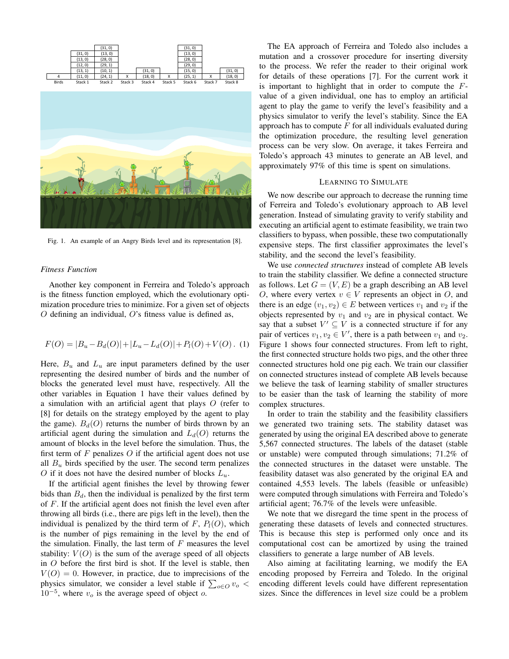

Fig. 1. An example of an Angry Birds level and its representation [8].

# *Fitness Function*

Another key component in Ferreira and Toledo's approach is the fitness function employed, which the evolutionary optimization procedure tries to minimize. For a given set of objects  $O$  defining an individual,  $O$ 's fitness value is defined as,

$$
F(O) = |B_u - B_d(O)| + |L_u - L_d(O)| + P_l(O) + V(O). \tag{1}
$$

Here,  $B_u$  and  $L_u$  are input parameters defined by the user representing the desired number of birds and the number of blocks the generated level must have, respectively. All the other variables in Equation 1 have their values defined by a simulation with an artificial agent that plays  $O$  (refer to [8] for details on the strategy employed by the agent to play the game).  $B_d(O)$  returns the number of birds thrown by an artificial agent during the simulation and  $L_d(O)$  returns the amount of blocks in the level before the simulation. Thus, the first term of  $F$  penalizes  $O$  if the artificial agent does not use all  $B_u$  birds specified by the user. The second term penalizes O if it does not have the desired number of blocks  $L_u$ .

If the artificial agent finishes the level by throwing fewer bids than  $B_d$ , then the individual is penalized by the first term of F. If the artificial agent does not finish the level even after throwing all birds (i.e., there are pigs left in the level), then the individual is penalized by the third term of  $F$ ,  $P_l(O)$ , which is the number of pigs remaining in the level by the end of the simulation. Finally, the last term of  $F$  measures the level stability:  $V(O)$  is the sum of the average speed of all objects in O before the first bird is shot. If the level is stable, then  $V(O) = 0$ . However, in practice, due to imprecisions of the physics simulator, we consider a level stable if  $\sum_{o \in O} v_o$  $10^{-5}$ , where  $v<sub>o</sub>$  is the average speed of object  $o$ .

The EA approach of Ferreira and Toledo also includes a mutation and a crossover procedure for inserting diversity to the process. We refer the reader to their original work for details of these operations [7]. For the current work it is important to highlight that in order to compute the  $F$ value of a given individual, one has to employ an artificial agent to play the game to verify the level's feasibility and a physics simulator to verify the level's stability. Since the EA approach has to compute  $F$  for all individuals evaluated during the optimization procedure, the resulting level generation process can be very slow. On average, it takes Ferreira and Toledo's approach 43 minutes to generate an AB level, and approximately 97% of this time is spent on simulations.

# LEARNING TO SIMULATE

We now describe our approach to decrease the running time of Ferreira and Toledo's evolutionary approach to AB level generation. Instead of simulating gravity to verify stability and executing an artificial agent to estimate feasibility, we train two classifiers to bypass, when possible, these two computationally expensive steps. The first classifier approximates the level's stability, and the second the level's feasibility.

We use *connected structures* instead of complete AB levels to train the stability classifier. We define a connected structure as follows. Let  $G = (V, E)$  be a graph describing an AB level O, where every vertex  $v \in V$  represents an object in O, and there is an edge  $(v_1, v_2) \in E$  between vertices  $v_1$  and  $v_2$  if the objects represented by  $v_1$  and  $v_2$  are in physical contact. We say that a subset  $V' \subseteq V$  is a connected structure if for any pair of vertices  $v_1, v_2 \in V'$ , there is a path between  $v_1$  and  $v_2$ . Figure 1 shows four connected structures. From left to right, the first connected structure holds two pigs, and the other three connected structures hold one pig each. We train our classifier on connected structures instead of complete AB levels because we believe the task of learning stability of smaller structures to be easier than the task of learning the stability of more complex structures.

In order to train the stability and the feasibility classifiers we generated two training sets. The stability dataset was generated by using the original EA described above to generate 5,567 connected structures. The labels of the dataset (stable or unstable) were computed through simulations; 71.2% of the connected structures in the dataset were unstable. The feasibility dataset was also generated by the original EA and contained 4,553 levels. The labels (feasible or unfeasible) were computed through simulations with Ferreira and Toledo's artificial agent; 76.7% of the levels were unfeasible.

We note that we disregard the time spent in the process of generating these datasets of levels and connected structures. This is because this step is performed only once and its computational cost can be amortized by using the trained classifiers to generate a large number of AB levels.

Also aiming at facilitating learning, we modify the EA encoding proposed by Ferreira and Toledo. In the original encoding different levels could have different representation sizes. Since the differences in level size could be a problem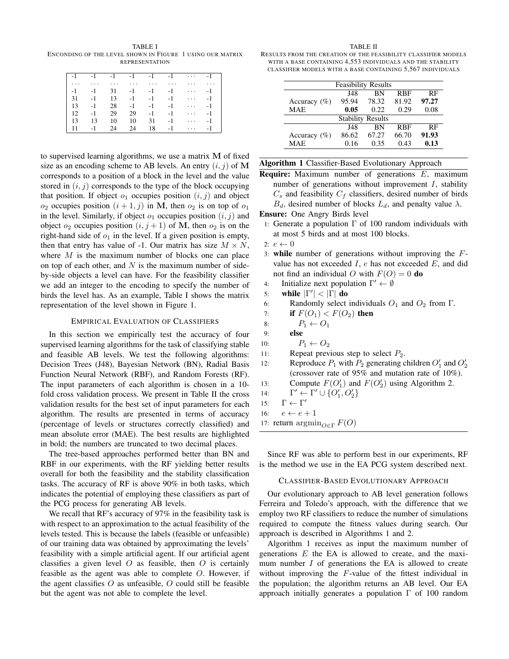TABLE I ENCONDING OF THE LEVEL SHOWN IN FIGURE 1 USING OUR MATRIX REPRESENTATION

| $\vert -1 \vert$ |          |          |          | $-4$ $-4$ $-4$ $-4$ $-4$ |      | $\cdots$ | $-1$ |
|------------------|----------|----------|----------|--------------------------|------|----------|------|
| $  \cdot  $      | $\cdots$ | $\cdots$ | $\cdots$ | $\cdots$                 | .    | .        |      |
| $\vert -1 \vert$ | $-1$     | 31       |          | $-1$ $-1$                | $-1$ | $\cdots$ | $-1$ |
| $\vert$ 31       | $-1$     | 13       | $-1$     | $-1$                     | $-1$ | $\cdots$ | $-1$ |
| $\vert$ 13       | $-1$     | 28       | $-1$     | $-1$                     | $-1$ | .        | $-1$ |
| $\vert$ 12       | $-1$     | 29       | 29       | $-1$                     | $-1$ | $\cdots$ | $-1$ |
| $\vert$ 13       | 13       | 10       | 10       | 31                       | $-1$ | $\cdots$ | $-1$ |
| 11               | -1       | 24       | 24       | 18                       | $-1$ | $\cdots$ | $-1$ |

to supervised learning algorithms, we use a matrix M of fixed size as an encoding scheme to AB levels. An entry  $(i, j)$  of M corresponds to a position of a block in the level and the value stored in  $(i, j)$  corresponds to the type of the block occupying that position. If object  $o_1$  occupies position  $(i, j)$  and object  $o_2$  occupies position  $(i + 1, j)$  in M, then  $o_2$  is on top of  $o_1$ in the level. Similarly, if object  $o_1$  occupies position  $(i, j)$  and object  $o_2$  occupies position  $(i, j + 1)$  of M, then  $o_2$  is on the right-hand side of  $o_1$  in the level. If a given position is empty, then that entry has value of -1. Our matrix has size  $M \times N$ , where  $M$  is the maximum number of blocks one can place on top of each other, and  $N$  is the maximum number of sideby-side objects a level can have. For the feasibility classifier we add an integer to the encoding to specify the number of birds the level has. As an example, Table I shows the matrix representation of the level shown in Figure 1.

## EMPIRICAL EVALUATION OF CLASSIFIERS

In this section we empirically test the accuracy of four supervised learning algorithms for the task of classifying stable and feasible AB levels. We test the following algorithms: Decision Trees (J48), Bayesian Network (BN), Radial Basis Function Neural Network (RBF), and Random Forests (RF). The input parameters of each algorithm is chosen in a 10 fold cross validation process. We present in Table II the cross validation results for the best set of input parameters for each algorithm. The results are presented in terms of accuracy (percentage of levels or structures correctly classified) and mean absolute error (MAE). The best results are highlighted in bold; the numbers are truncated to two decimal places.

The tree-based approaches performed better than BN and RBF in our experiments, with the RF yielding better results overall for both the feasibility and the stability classification tasks. The accuracy of RF is above 90% in both tasks, which indicates the potential of employing these classifiers as part of the PCG process for generating AB levels.

We recall that RF's accuracy of 97% in the feasibility task is with respect to an approximation to the actual feasibility of the levels tested. This is because the labels (feasible or unfeasible) of our training data was obtained by approximating the levels' feasibility with a simple artificial agent. If our artificial agent classifies a given level  $O$  as feasible, then  $O$  is certainly feasible as the agent was able to complete O. However, if the agent classifies  $O$  as unfeasible,  $O$  could still be feasible but the agent was not able to complete the level.

#### TABLE II

RESULTS FROM THE CREATION OF THE FEASIBILITY CLASSIFIER MODELS WITH A BASE CONTAINING 4,553 INDIVIDUALS AND THE STABILITY CLASSIFIER MODELS WITH A BASE CONTAINING 5,567 INDIVIDUALS

| <b>Feasibility Results</b> |       |           |            |       |  |  |
|----------------------------|-------|-----------|------------|-------|--|--|
|                            | J48   | <b>BN</b> | <b>RBF</b> | RF    |  |  |
| Accuracy $(\% )$           | 95.94 | 78.32     | 81.92      | 97.27 |  |  |
| <b>MAE</b>                 | 0.05  | 0.22.     | 0.29       | 0.08  |  |  |
| <b>Stability Results</b>   |       |           |            |       |  |  |
|                            | J48   | <b>BN</b> | <b>RBF</b> | RF    |  |  |
| Accuracy $(\% )$           | 86.62 | 67.27     | 66.70      | 91.93 |  |  |
| <b>MAE</b>                 | 0.16  | 0.35      | 0.43       | 0.13  |  |  |

|  |  | Algorithm 1 Classifier-Based Evolutionary Approach |
|--|--|----------------------------------------------------|
|--|--|----------------------------------------------------|

**Require:** Maximum number of generations  $E$ , maximum number of generations without improvement  $I$ , stability  $C_s$  and feasibility  $C_f$  classifiers, desired number of birds  $B_d$ , desired number of blocks  $L_d$ , and penalty value  $\lambda$ .

Ensure: One Angry Birds level

1: Generate a population  $\Gamma$  of 100 random individuals with at most 5 birds and at most 100 blocks.

- 3: while number of generations without improving the Fvalue has not exceeded  $I$ ,  $e$  has not exceeded  $E$ , and did not find an individual O with  $F(O) = 0$  do
- 4: Initialize next population  $\Gamma' \leftarrow \emptyset$
- 5: while  $|\Gamma'| < |\Gamma|$  do
- 6: Randomly select individuals  $O_1$  and  $O_2$  from  $\Gamma$ .
- 7: **if**  $F(O_1) < F(O_2)$  then
- 8:  $P_1 \leftarrow O_1$
- 9: else
- 10:  $P_1 \leftarrow O_2$
- 11: Repeat previous step to select  $P_2$ .
- 12: Reproduce  $P_1$  with  $P_2$  generating children  $O'_1$  and  $O'_2$ (crossover rate of 95% and mutation rate of 10%).
- 13: Compute  $F(O'_1)$  and  $F(O'_2)$  using Algorithm 2.
- 14:  $\prime \leftarrow \Gamma' \cup \{O_1', O_2'\}$
- 15:  $\Gamma \leftarrow \Gamma'$
- 16:  $e \leftarrow e + 1$
- 17: return  $\operatorname{argmin}_{O \in \Gamma} F(O)$

Since RF was able to perform best in our experiments, RF is the method we use in the EA PCG system described next.

# CLASSIFIER-BASED EVOLUTIONARY APPROACH

Our evolutionary approach to AB level generation follows Ferreira and Toledo's approach, with the difference that we employ two RF classifiers to reduce the number of simulations required to compute the fitness values during search. Our approach is described in Algorithms 1 and 2.

Algorithm 1 receives as input the maximum number of generations  $E$  the EA is allowed to create, and the maximum number  $I$  of generations the EA is allowed to create without improving the F-value of the fittest individual in the population; the algorithm returns an AB level. Our EA approach initially generates a population  $\Gamma$  of 100 random

<sup>2:</sup>  $e \leftarrow 0$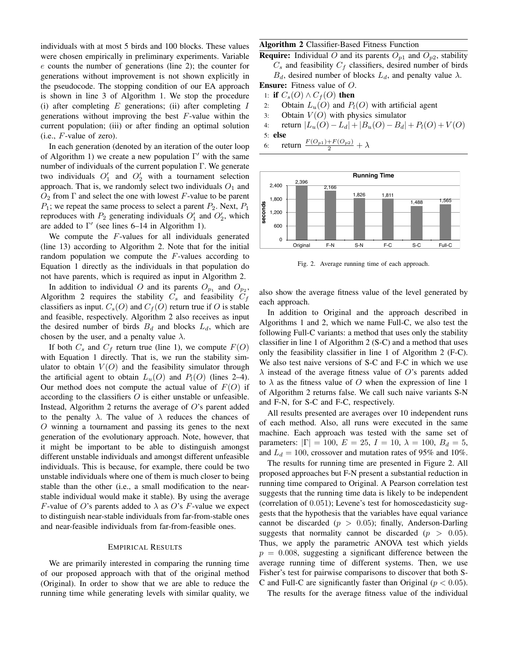individuals with at most 5 birds and 100 blocks. These values were chosen empirically in preliminary experiments. Variable e counts the number of generations (line 2); the counter for generations without improvement is not shown explicitly in the pseudocode. The stopping condition of our EA approach is shown in line 3 of Algorithm 1. We stop the procedure (i) after completing  $E$  generations; (ii) after completing  $I$ generations without improving the best F-value within the current population; (iii) or after finding an optimal solution  $(i.e., F-value of zero).$ 

In each generation (denoted by an iteration of the outer loop of Algorithm 1) we create a new population  $\Gamma'$  with the same number of individuals of the current population Γ. We generate two individuals  $O'_1$  and  $O'_2$  with a tournament selection approach. That is, we randomly select two individuals  $O_1$  and  $O_2$  from  $\Gamma$  and select the one with lowest F-value to be parent  $P_1$ ; we repeat the same process to select a parent  $P_2$ . Next,  $P_1$ reproduces with  $P_2$  generating individuals  $O'_1$  and  $O'_2$ , which are added to  $\Gamma'$  (see lines 6–14 in Algorithm 1).

We compute the  $F$ -values for all individuals generated (line 13) according to Algorithm 2. Note that for the initial random population we compute the  $F$ -values according to Equation 1 directly as the individuals in that population do not have parents, which is required as input in Algorithm 2.

In addition to individual O and its parents  $O_{p_1}$  and  $O_{p_2}$ , Algorithm 2 requires the stability  $C_s$  and feasibility  $C_f$ classifiers as input.  $C_s(O)$  and  $C_f(O)$  return true if O is stable and feasible, respectively. Algorithm 2 also receives as input the desired number of birds  $B_d$  and blocks  $L_d$ , which are chosen by the user, and a penalty value  $\lambda$ .

If both  $C_s$  and  $C_f$  return true (line 1), we compute  $F(O)$ with Equation 1 directly. That is, we run the stability simulator to obtain  $V(O)$  and the feasibility simulator through the artificial agent to obtain  $L_u(O)$  and  $P_l(O)$  (lines 2–4). Our method does not compute the actual value of  $F(O)$  if according to the classifiers O is either unstable or unfeasible. Instead, Algorithm 2 returns the average of  $O$ 's parent added to the penalty  $\lambda$ . The value of  $\lambda$  reduces the chances of O winning a tournament and passing its genes to the next generation of the evolutionary approach. Note, however, that it might be important to be able to distinguish amongst different unstable individuals and amongst different unfeasible individuals. This is because, for example, there could be two unstable individuals where one of them is much closer to being stable than the other (i.e., a small modification to the nearstable individual would make it stable). By using the average F-value of O's parents added to  $\lambda$  as O's F-value we expect to distinguish near-stable individuals from far-from-stable ones and near-feasible individuals from far-from-feasible ones.

## EMPIRICAL RESULTS

We are primarily interested in comparing the running time of our proposed approach with that of the original method (Original). In order to show that we are able to reduce the running time while generating levels with similar quality, we

# Algorithm 2 Classifier-Based Fitness Function

**Require:** Individual O and its parents  $O_{p1}$  and  $O_{p2}$ , stability  $C_s$  and feasibility  $C_f$  classifiers, desired number of birds

 $B_d$ , desired number of blocks  $L_d$ , and penalty value  $\lambda$ .

Ensure: Fitness value of O.

- 1: if  $C_s(O) \wedge C_f(O)$  then
- 2: Obtain  $L_u(O)$  and  $P_l(O)$  with artificial agent
- 3: Obtain  $V(O)$  with physics simulator

4: return  $|L_u(O) - L_d| + |B_u(O) - B_d| + P_l(O) + V(O)$ 

- 5: else
- 6: return  $\frac{F(O_{p1})+F(O_{p2})}{2} + \lambda$



Fig. 2. Average running time of each approach.

also show the average fitness value of the level generated by each approach.

In addition to Original and the approach described in Algorithms 1 and 2, which we name Full-C, we also test the following Full-C variants: a method that uses only the stability classifier in line 1 of Algorithm 2 (S-C) and a method that uses only the feasibility classifier in line 1 of Algorithm 2 (F-C). We also test naive versions of S-C and F-C in which we use  $\lambda$  instead of the average fitness value of O's parents added to  $\lambda$  as the fitness value of O when the expression of line 1 of Algorithm 2 returns false. We call such naive variants S-N and F-N, for S-C and F-C, respectively.

All results presented are averages over 10 independent runs of each method. Also, all runs were executed in the same machine. Each approach was tested with the same set of parameters:  $|\Gamma| = 100$ ,  $E = 25$ ,  $I = 10$ ,  $\lambda = 100$ ,  $B_d = 5$ , and  $L_d = 100$ , crossover and mutation rates of 95% and 10%.

The results for running time are presented in Figure 2. All proposed approaches but F-N present a substantial reduction in running time compared to Original. A Pearson correlation test suggests that the running time data is likely to be independent (correlation of 0.051); Levene's test for homoscedasticity suggests that the hypothesis that the variables have equal variance cannot be discarded ( $p > 0.05$ ); finally, Anderson-Darling suggests that normality cannot be discarded ( $p > 0.05$ ). Thus, we apply the parametric ANOVA test which yields  $p = 0.008$ , suggesting a significant difference between the average running time of different systems. Then, we use Fisher's test for pairwise comparisons to discover that both S-C and Full-C are significantly faster than Original ( $p < 0.05$ ).

The results for the average fitness value of the individual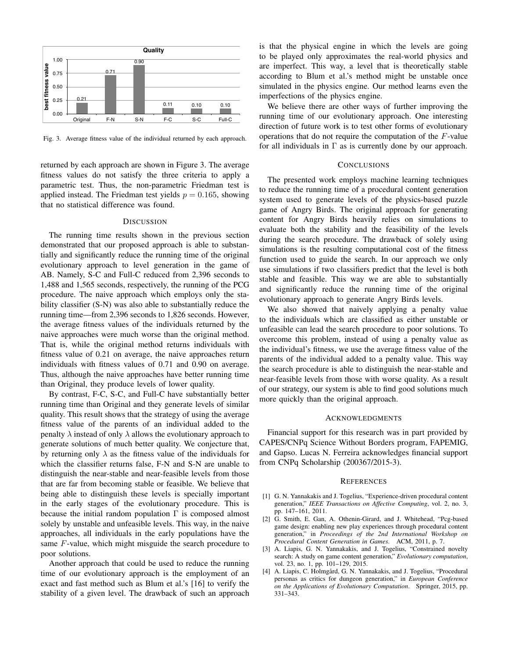

Fig. 3. Average fitness value of the individual returned by each approach.

returned by each approach are shown in Figure 3. The average fitness values do not satisfy the three criteria to apply a parametric test. Thus, the non-parametric Friedman test is applied instead. The Friedman test yields  $p = 0.165$ , showing that no statistical difference was found.

## **DISCUSSION**

The running time results shown in the previous section demonstrated that our proposed approach is able to substantially and significantly reduce the running time of the original evolutionary approach to level generation in the game of AB. Namely, S-C and Full-C reduced from 2,396 seconds to 1,488 and 1,565 seconds, respectively, the running of the PCG procedure. The naive approach which employs only the stability classifier (S-N) was also able to substantially reduce the running time—from 2,396 seconds to 1,826 seconds. However, the average fitness values of the individuals returned by the naive approaches were much worse than the original method. That is, while the original method returns individuals with fitness value of 0.21 on average, the naive approaches return individuals with fitness values of 0.71 and 0.90 on average. Thus, although the naive approaches have better running time than Original, they produce levels of lower quality.

By contrast, F-C, S-C, and Full-C have substantially better running time than Original and they generate levels of similar quality. This result shows that the strategy of using the average fitness value of the parents of an individual added to the penalty  $\lambda$  instead of only  $\lambda$  allows the evolutionary approach to generate solutions of much better quality. We conjecture that, by returning only  $\lambda$  as the fitness value of the individuals for which the classifier returns false, F-N and S-N are unable to distinguish the near-stable and near-feasible levels from those that are far from becoming stable or feasible. We believe that being able to distinguish these levels is specially important in the early stages of the evolutionary procedure. This is because the initial random population  $\Gamma$  is composed almost solely by unstable and unfeasible levels. This way, in the naive approaches, all individuals in the early populations have the same F-value, which might misguide the search procedure to poor solutions.

Another approach that could be used to reduce the running time of our evolutionary approach is the employment of an exact and fast method such as Blum et al.'s [16] to verify the stability of a given level. The drawback of such an approach is that the physical engine in which the levels are going to be played only approximates the real-world physics and are imperfect. This way, a level that is theoretically stable according to Blum et al.'s method might be unstable once simulated in the physics engine. Our method learns even the imperfections of the physics engine.

We believe there are other ways of further improving the running time of our evolutionary approach. One interesting direction of future work is to test other forms of evolutionary operations that do not require the computation of the F-value for all individuals in  $\Gamma$  as is currently done by our approach.

# **CONCLUSIONS**

The presented work employs machine learning techniques to reduce the running time of a procedural content generation system used to generate levels of the physics-based puzzle game of Angry Birds. The original approach for generating content for Angry Birds heavily relies on simulations to evaluate both the stability and the feasibility of the levels during the search procedure. The drawback of solely using simulations is the resulting computational cost of the fitness function used to guide the search. In our approach we only use simulations if two classifiers predict that the level is both stable and feasible. This way we are able to substantially and significantly reduce the running time of the original evolutionary approach to generate Angry Birds levels.

We also showed that naively applying a penalty value to the individuals which are classified as either unstable or unfeasible can lead the search procedure to poor solutions. To overcome this problem, instead of using a penalty value as the individual's fitness, we use the average fitness value of the parents of the individual added to a penalty value. This way the search procedure is able to distinguish the near-stable and near-feasible levels from those with worse quality. As a result of our strategy, our system is able to find good solutions much more quickly than the original approach.

# ACKNOWLEDGMENTS

Financial support for this research was in part provided by CAPES/CNPq Science Without Borders program, FAPEMIG, and Gapso. Lucas N. Ferreira acknowledges financial support from CNPq Scholarship (200367/2015-3).

## **REFERENCES**

- [1] G. N. Yannakakis and J. Togelius, "Experience-driven procedural content generation," *IEEE Transactions on Affective Computing*, vol. 2, no. 3, pp. 147–161, 2011.
- [2] G. Smith, E. Gan, A. Othenin-Girard, and J. Whitehead, "Pcg-based game design: enabling new play experiences through procedural content generation," in *Proceedings of the 2nd International Workshop on Procedural Content Generation in Games*. ACM, 2011, p. 7.
- [3] A. Liapis, G. N. Yannakakis, and J. Togelius, "Constrained novelty search: A study on game content generation," *Evolutionary computation*, vol. 23, no. 1, pp. 101–129, 2015.
- [4] A. Liapis, C. Holmgård, G. N. Yannakakis, and J. Togelius, "Procedural personas as critics for dungeon generation," in *European Conference on the Applications of Evolutionary Computation*. Springer, 2015, pp. 331–343.